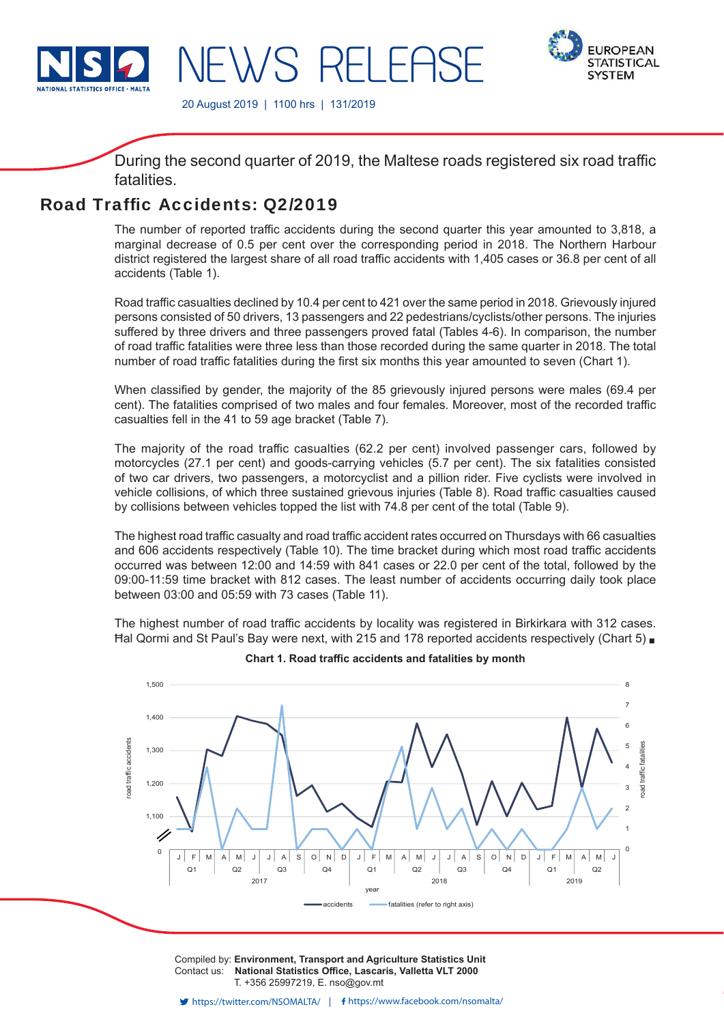

**EWS RELEAS** 



20 August 2019 | 1100 hrs | 131/2019

During the second quarter of 2019, the Maltese roads registered six road traffic fatalities.

# Road Traffic Accidents: 02/2019

The number of reported traffic accidents during the second quarter this year amounted to 3,818, a marginal decrease of 0.5 per cent over the corresponding period in 2018. The Northern Harbour district registered the largest share of all road traffic accidents with 1,405 cases or 36.8 per cent of all accidents (Table 1).

Road traffic casualties declined by 10.4 per cent to 421 over the same period in 2018. Grievously injured persons consisted of 50 drivers, 13 passengers and 22 pedestrians/cyclists/other persons. The injuries suffered by three drivers and three passengers proved fatal (Tables 4-6). In comparison, the number of road traffic fatalities were three less than those recorded during the same quarter in 2018. The total number of road traffic fatalities during the first six months this year amounted to seven (Chart 1).

When classified by gender, the majority of the 85 grievously injured persons were males (69.4 per cent). The fatalities comprised of two males and four females. Moreover, most of the recorded traffic casualties fell in the 41 to 59 age bracket (Table 7).

The majority of the road traffic casualties (62.2 per cent) involved passenger cars, followed by motorcycles (27.1 per cent) and goods-carrying vehicles (5.7 per cent). The six fatalities consisted of two car drivers, two passengers, a motorcyclist and a pillion rider. Five cyclists were involved in vehicle collisions, of which three sustained grievous injuries (Table 8). Road traffic casualties caused by collisions between vehicles topped the list with 74.8 per cent of the total (Table 9).

The highest road traffic casualty and road traffic accident rates occurred on Thursdays with 66 casualties and 606 accidents respectively (Table 10). The time bracket during which most road traffic accidents occurred was between 12:00 and 14:59 with 841 cases or 22.0 per cent of the total, followed by the 09:00-11:59 time bracket with 812 cases. The least number of accidents occurring daily took place between 03:00 and 05:59 with 73 cases (Table 11).

The highest number of road traffic accidents by locality was registered in Birkirkara with 312 cases. Hal Qormi and St Paul's Bay were next, with 215 and 178 reported accidents respectively (Chart 5) ■



**Chart 1. Road traffic accidents and fatalities by month** 

Compiled by: **Environment, Transport and Agriculture Statistics Unit** Contact us: National Statistics Office, Lascaris, Valletta VLT 2000 T. +356 25997219, E. nso@gov.mt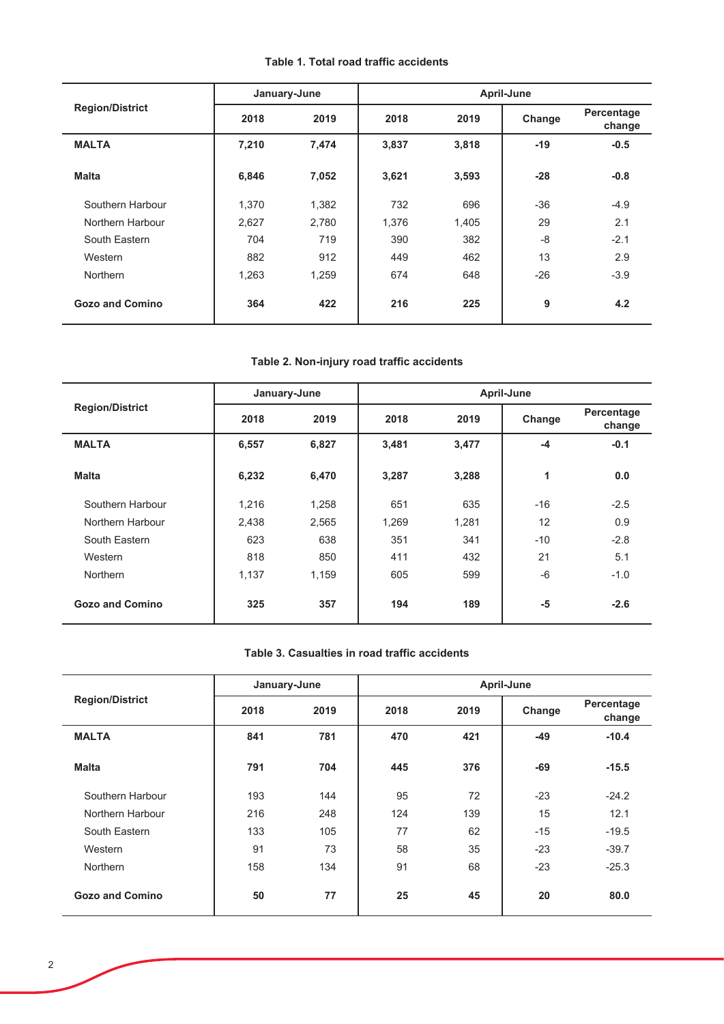## **Table 1. Total road traffic accidents**

|                        |       | January-June |       | April-June |        |                      |  |  |  |  |
|------------------------|-------|--------------|-------|------------|--------|----------------------|--|--|--|--|
| <b>Region/District</b> | 2018  | 2019         | 2018  | 2019       | Change | Percentage<br>change |  |  |  |  |
| <b>MALTA</b>           | 7,210 | 7,474        | 3,837 | 3,818      | $-19$  | $-0.5$               |  |  |  |  |
| <b>Malta</b>           | 6,846 | 7,052        | 3,621 | 3,593      | $-28$  | $-0.8$               |  |  |  |  |
| Southern Harbour       | 1,370 | 1,382        | 732   | 696        | $-36$  | $-4.9$               |  |  |  |  |
| Northern Harbour       | 2,627 | 2,780        | 1,376 | 1,405      | 29     | 2.1                  |  |  |  |  |
| South Eastern          | 704   | 719          | 390   | 382        | -8     | $-2.1$               |  |  |  |  |
| Western                | 882   | 912          | 449   | 462        | 13     | 2.9                  |  |  |  |  |
| <b>Northern</b>        | 1,263 | 1,259        | 674   | 648        | $-26$  | $-3.9$               |  |  |  |  |
| <b>Gozo and Comino</b> | 364   | 422          | 216   | 225        | 9      | 4.2                  |  |  |  |  |

# Table 2. Non-injury road traffic accidents

|                        | January-June |       | April-June |       |        |                      |  |  |  |
|------------------------|--------------|-------|------------|-------|--------|----------------------|--|--|--|
| <b>Region/District</b> | 2019<br>2018 |       | 2018       | 2019  | Change | Percentage<br>change |  |  |  |
| <b>MALTA</b>           | 6,557        | 6,827 | 3,481      | 3,477 | $-4$   | $-0.1$               |  |  |  |
| <b>Malta</b>           | 6,232        | 6,470 | 3,287      | 3,288 | 1      | 0.0                  |  |  |  |
| Southern Harbour       | 1,216        | 1,258 | 651        | 635   | $-16$  | $-2.5$               |  |  |  |
| Northern Harbour       | 2,438        | 2,565 | 1,269      | 1,281 | 12     | 0.9                  |  |  |  |
| South Eastern          | 623          | 638   | 351        | 341   | $-10$  | $-2.8$               |  |  |  |
| Western                | 818          | 850   | 411        | 432   | 21     | 5.1                  |  |  |  |
| <b>Northern</b>        | 1.137        | 1,159 | 605        | 599   | $-6$   | $-1.0$               |  |  |  |
| Gozo and Comino        | 325          | 357   | 194        | 189   | -5     | $-2.6$               |  |  |  |

## Table 3. Casualties in road traffic accidents

|                        | January-June |      | April-June |      |        |                      |  |  |  |
|------------------------|--------------|------|------------|------|--------|----------------------|--|--|--|
| <b>Region/District</b> | 2018         | 2019 | 2018       | 2019 | Change | Percentage<br>change |  |  |  |
| <b>MALTA</b>           | 841          | 781  | 470        | 421  | $-49$  | $-10.4$              |  |  |  |
| <b>Malta</b>           | 791          | 704  | 445        | 376  | $-69$  | $-15.5$              |  |  |  |
| Southern Harbour       | 193          | 144  | 95         | 72   | $-23$  | $-24.2$              |  |  |  |
| Northern Harbour       | 216          | 248  | 124        | 139  | 15     | 12.1                 |  |  |  |
| South Eastern          | 133          | 105  | 77         | 62   | $-15$  | $-19.5$              |  |  |  |
| Western                | 91           | 73   | 58         | 35   | $-23$  | $-39.7$              |  |  |  |
| <b>Northern</b>        | 158          | 134  | 91         | 68   | $-23$  | $-25.3$              |  |  |  |
| <b>Gozo and Comino</b> | 50           | 77   | 25         | 45   | 20     | 80.0                 |  |  |  |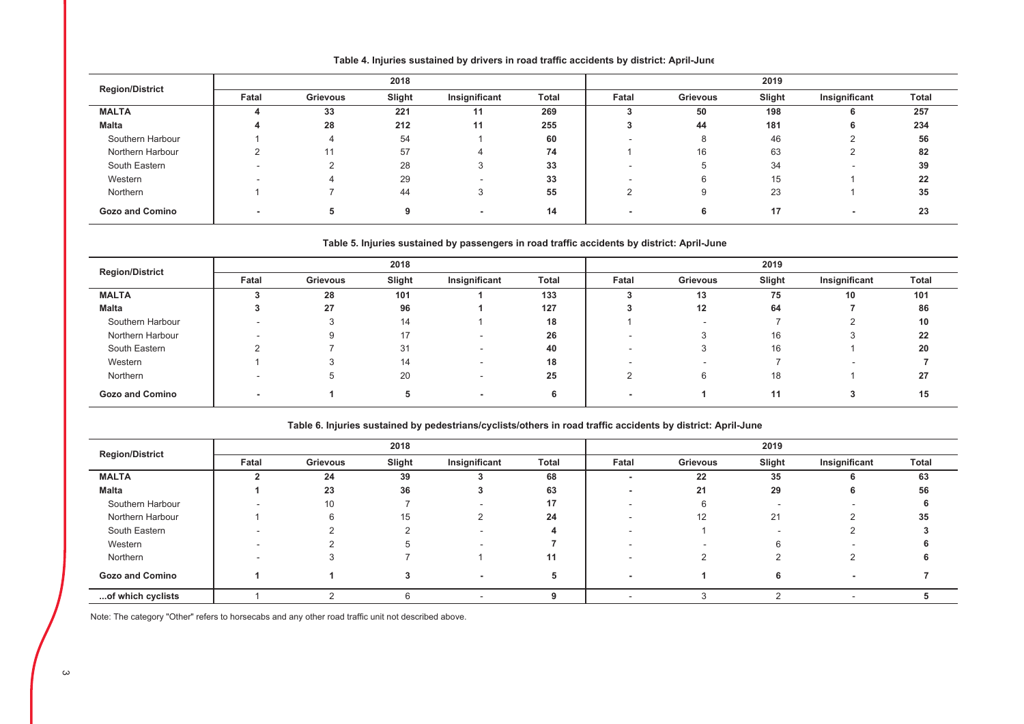| <b>Region/District</b> |       |                 | 2018   |               |              | 2019  |          |        |               |              |
|------------------------|-------|-----------------|--------|---------------|--------------|-------|----------|--------|---------------|--------------|
|                        | Fatal | <b>Grievous</b> | Slight | Insignificant | <b>Total</b> | Fatal | Grievous | Slight | Insignificant | <b>Total</b> |
| <b>MALTA</b>           |       | 33              | 221    |               | 269          |       | 50       | 198    |               | 257          |
| <b>Malta</b>           | л     | 28              | 212    | 11            | 255          |       | 44       | 181    |               | 234          |
| Southern Harbour       |       |                 | 54     |               | 60           |       |          | 46     |               | 56           |
| Northern Harbour       |       | 44              | 57     |               | 74           |       | 16       | 63     |               | 82           |
| South Eastern          |       |                 | 28     |               | 33           |       |          | 34     |               | 39           |
| Western                |       |                 | 29     |               | 33           |       |          | 15     |               | 22           |
| Northern               |       |                 | 44     | - 3           | 55           |       |          | 23     |               | 35           |
| <b>Gozo and Comino</b> |       |                 |        |               | 14           |       | O        | 17     |               | 23           |

#### Table 4. Injuries sustained by drivers in road traffic accidents by district: April-June

#### Table 5. Injuries sustained by passengers in road traffic accidents by district: April-June

| <b>Region/District</b> |       |          | 2018   |                          |       | 2019                     |                 |        |               |              |
|------------------------|-------|----------|--------|--------------------------|-------|--------------------------|-----------------|--------|---------------|--------------|
|                        | Fatal | Grievous | Slight | Insignificant            | Total | Fatal                    | <b>Grievous</b> | Slight | Insignificant | <b>Total</b> |
| <b>MALTA</b>           |       | 28       | 101    |                          | 133   |                          | 13              | 75     | 10            | 101          |
| <b>Malta</b>           |       | 27       | 96     |                          | 127   |                          | 12              | 64     |               | 86           |
| Southern Harbour       |       |          | 14     |                          | 18    |                          |                 |        |               | 10           |
| Northern Harbour       |       |          | 17     |                          | 26    |                          |                 | 16     | з             | 22           |
| South Eastern          |       |          | 31     |                          | 40    | $\overline{\phantom{a}}$ |                 | 16     |               | 20           |
| Western                |       |          | 14     | $\overline{\phantom{a}}$ | 18    |                          |                 |        |               |              |
| Northern               |       |          | 20     | $\overline{\phantom{a}}$ | 25    |                          |                 | 18     |               | 27           |
| <b>Gozo and Comino</b> |       |          |        |                          |       |                          |                 | 11     |               | 15           |

#### Table 6. Injuries sustained by pedestrians/cyclists/others in road traffic accidents by district: April-June

|                        |       |          | 2018   |               |       | 2019                     |                 |        |               |       |
|------------------------|-------|----------|--------|---------------|-------|--------------------------|-----------------|--------|---------------|-------|
| <b>Region/District</b> | Fatal | Grievous | Slight | Insignificant | Total | Fatal                    | <b>Grievous</b> | Slight | Insignificant | Total |
| <b>MALTA</b>           |       | 24       | 39     |               | 68    |                          | 22              | 35     |               | 63    |
| Malta                  |       | 23       | 36     |               | 63    |                          | 21              | 29     |               | 56    |
| Southern Harbour       |       | 10       |        |               | 17    | $\overline{\phantom{a}}$ |                 |        |               |       |
| Northern Harbour       |       |          | 15     |               | 24    | $\overline{\phantom{a}}$ | 12              | 21     |               | 35    |
| South Eastern          |       |          |        |               |       |                          |                 |        |               |       |
| Western                |       |          |        |               |       |                          |                 | 6      |               |       |
| Northern               |       |          |        |               | 11    |                          |                 |        |               |       |
| <b>Gozo and Comino</b> |       |          |        |               | 5     | . .                      |                 | 6      |               |       |
| of which cyclists      |       |          |        |               |       |                          |                 |        |               |       |

Note: The category "Other" refers to horsecabs and any other road traffic unit not described above.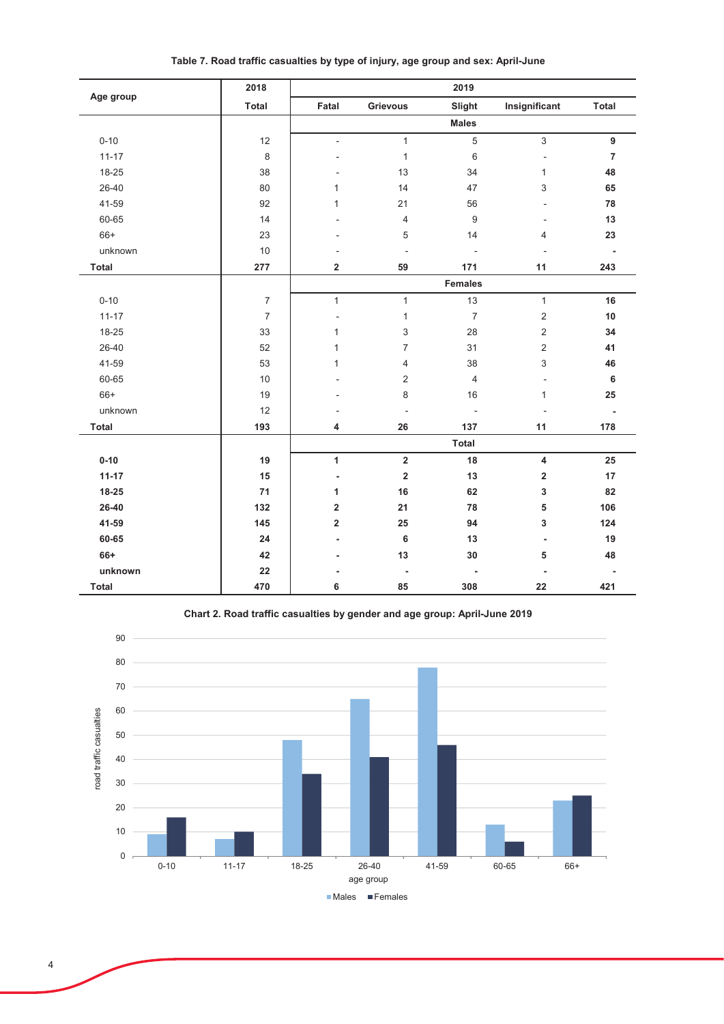| Age group | 2018             |                          |                          | 2019                     |                         |                          |
|-----------|------------------|--------------------------|--------------------------|--------------------------|-------------------------|--------------------------|
|           | Total            | Fatal                    | Grievous                 | Slight                   | Insignificant           | Total                    |
|           |                  |                          |                          | <b>Males</b>             |                         |                          |
| $0 - 10$  | 12               | $\mathcal{L}$            | $\mathbf{1}$             | $\overline{5}$           | $\mathfrak{S}$          | 9                        |
| $11 - 17$ | 8                |                          | $\mathbf{1}$             | $6\,$                    | ÷,                      | $\overline{7}$           |
| 18-25     | 38               |                          | 13                       | 34                       | $\mathbf{1}$            | 48                       |
| 26-40     | 80               | 1                        | 14                       | 47                       | 3                       | 65                       |
| 41-59     | 92               | 1                        | 21                       | 56                       |                         | 78                       |
| 60-65     | 14               |                          | 4                        | $\overline{9}$           |                         | 13                       |
| $66+$     | 23               |                          | 5                        | 14                       | 4                       | 23                       |
| unknown   | $10$             |                          | $\frac{1}{2}$            | $\overline{\phantom{a}}$ |                         | $\overline{\phantom{a}}$ |
| Total     | 277              | $\overline{\mathbf{2}}$  | 59                       | 171                      | 11                      | 243                      |
|           |                  |                          |                          | Females                  |                         |                          |
| $0 - 10$  | $\boldsymbol{7}$ | $\mathbf{1}$             | $\mathbf{1}$             | 13                       | $\mathbf{1}$            | 16                       |
| $11 - 17$ | $\boldsymbol{7}$ |                          | $\mathbf{1}$             | $\overline{7}$           | $\overline{c}$          | $10$                     |
| 18-25     | 33               | 1                        | 3                        | 28                       | $\overline{2}$          | 34                       |
| 26-40     | 52               | 1                        | $\overline{7}$           | 31                       | $\overline{c}$          | 41                       |
| 41-59     | 53               | 1                        | 4                        | 38                       | 3                       | 46                       |
| 60-65     | $10$             |                          | $\overline{2}$           | $\overline{4}$           |                         | $\bf 6$                  |
| $66+$     | 19               |                          | 8                        | 16                       | $\mathbf{1}$            | 25                       |
| unknown   | 12               |                          | $\overline{\phantom{a}}$ | $\overline{a}$           |                         | $\overline{\phantom{a}}$ |
| Total     | 193              | 4                        | 26                       | 137                      | 11                      | 178                      |
|           |                  |                          |                          | Total                    |                         |                          |
| $0 - 10$  | 19               | $\mathbf{1}$             | $\mathbf 2$              | 18                       | $\overline{\mathbf{4}}$ | 25                       |
| $11 - 17$ | 15               | $\overline{\phantom{a}}$ | $\mathbf 2$              | 13                       | $\overline{\mathbf{2}}$ | 17                       |
| 18-25     | 71               | 1                        | 16                       | 62                       | 3                       | 82                       |
| 26-40     | 132              | $\overline{\mathbf{2}}$  | 21                       | 78                       | 5                       | 106                      |
| 41-59     | 145              | $\overline{2}$           | 25                       | 94                       | 3                       | 124                      |
| 60-65     | 24               | $\overline{a}$           | $\bf 6$                  | 13                       | $\overline{a}$          | 19                       |
| 66+       | 42               |                          | 13                       | 30                       | 5                       | 48                       |
| unknown   | 22               |                          | $\overline{\phantom{a}}$ | $\overline{\phantom{a}}$ |                         |                          |
| Total     | 470              | 6                        | 85                       | 308                      | 22                      | 421                      |

Table 7. Road traffic casualties by type of injury, age group and sex: April-June



Chart 2. Road traffic casualties by gender and age group: April-June 2019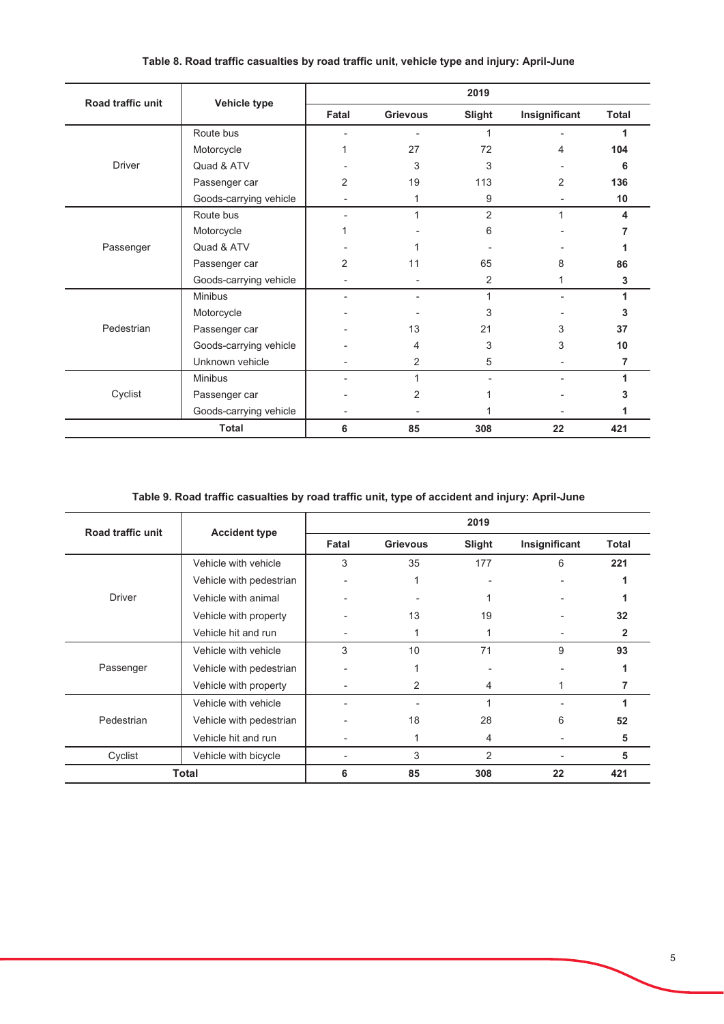| Road traffic unit | Vehicle type           |       |                 | 2019           |                |              |
|-------------------|------------------------|-------|-----------------|----------------|----------------|--------------|
|                   |                        | Fatal | <b>Grievous</b> | Slight         | Insignificant  | <b>Total</b> |
|                   | Route bus              |       |                 | 1              |                |              |
|                   | Motorcycle             |       | 27              | 72             | 4              | 104          |
| <b>Driver</b>     | Quad & ATV             |       | 3               | 3              |                | 6            |
|                   | Passenger car          | 2     | 19              | 113            | $\overline{2}$ | 136          |
|                   | Goods-carrying vehicle |       | 1               | 9              |                | 10           |
|                   | Route bus              |       | 1               | $\overline{2}$ | $\mathbf{1}$   | 4            |
|                   | Motorcycle             |       |                 | 6              |                |              |
| Passenger         | Quad & ATV             |       |                 |                |                |              |
|                   | Passenger car          | 2     | 11              | 65             | 8              | 86           |
|                   | Goods-carrying vehicle |       |                 | 2              | 1              | 3            |
|                   | <b>Minibus</b>         |       |                 | 1              |                |              |
|                   | Motorcycle             |       |                 | 3              |                | 3            |
| Pedestrian        | Passenger car          |       | 13              | 21             | 3              | 37           |
|                   | Goods-carrying vehicle |       | 4               | 3              | 3              | 10           |
|                   | Unknown vehicle        |       | 2               | 5              |                | 7            |
|                   | <b>Minibus</b>         |       |                 |                |                |              |
| Cyclist           | Passenger car          |       | 2               |                |                |              |
|                   | Goods-carrying vehicle |       |                 |                |                |              |
|                   | <b>Total</b>           | 6     | 85              | 308            | 22             | 421          |

## Table 8. Road traffic casualties by road traffic unit, vehicle type and injury: April-June

# Table 9. Road traffic casualties by road traffic unit, type of accident and injury: April-June

| Road traffic unit |                         |       |                 | 2019   |                |              |
|-------------------|-------------------------|-------|-----------------|--------|----------------|--------------|
|                   | <b>Accident type</b>    | Fatal | <b>Grievous</b> | Slight | Insignificant  | <b>Total</b> |
|                   | Vehicle with vehicle    | 3     | 35              | 177    | 6              | 221          |
|                   | Vehicle with pedestrian |       |                 |        |                |              |
| <b>Driver</b>     | Vehicle with animal     |       |                 |        |                |              |
|                   | Vehicle with property   |       | 13              | 19     |                | 32           |
|                   | Vehicle hit and run     |       |                 |        | ۰              | 2            |
|                   | Vehicle with vehicle    | 3     | 10              | 71     | 9              | 93           |
| Passenger         | Vehicle with pedestrian |       |                 |        |                |              |
|                   | Vehicle with property   |       | 2               | 4      |                |              |
|                   | Vehicle with vehicle    |       |                 | 1      | $\blacksquare$ |              |
| Pedestrian        | Vehicle with pedestrian |       | 18              | 28     | 6              | 52           |
|                   | Vehicle hit and run     |       |                 | 4      |                | 5            |
| Cyclist           | Vehicle with bicycle    |       | 3               | 2      |                | 5            |
|                   | <b>Total</b>            |       | 85              | 308    | 22             | 421          |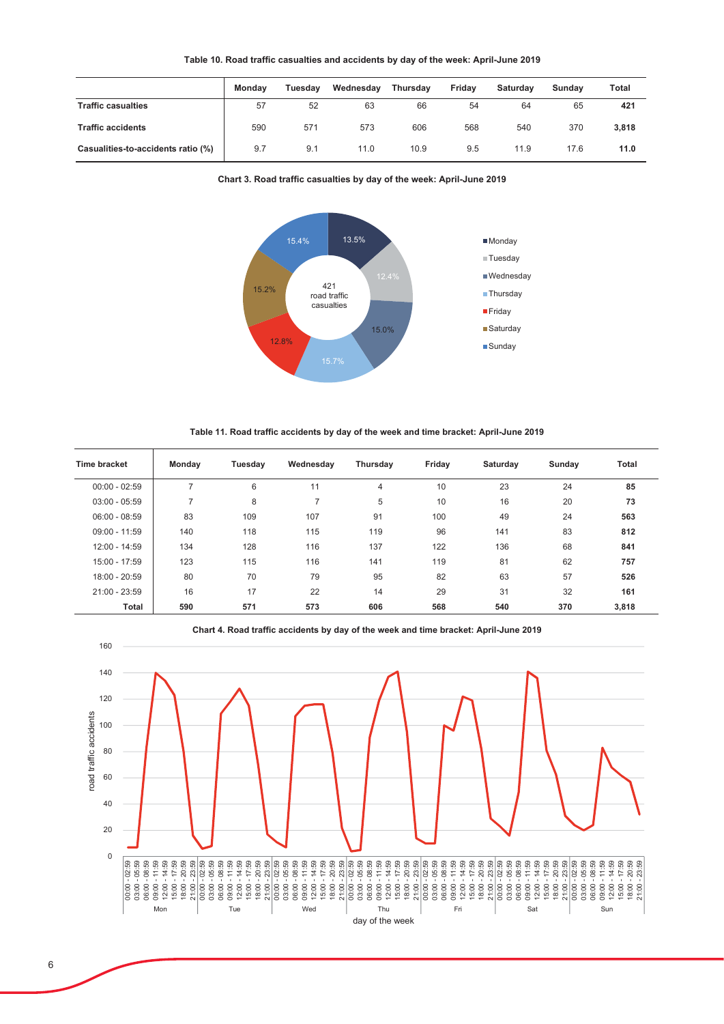|                                    | <b>Mondav</b> | Tuesdav | Wednesdav | <b>Thursdav</b> | Fridav | <b>Saturdav</b> | Sundav | Total |
|------------------------------------|---------------|---------|-----------|-----------------|--------|-----------------|--------|-------|
| <b>Traffic casualties</b>          | 57            | 52      | 63        | 66              | 54     | 64              | 65     | 421   |
| <b>Traffic accidents</b>           | 590           | 571     | 573       | 606             | 568    | 540             | 370    | 3,818 |
| Casualities-to-accidents ratio (%) | 9.7           | 9.1     | 11.0      | 10.9            | 9.5    | 11.9            | 17.6   | 11.0  |





Table 11. Road traffic accidents by day of the week and time bracket: April-June 2019

| Time bracket    | Monday         | Tuesday | Wednesday | Thursday | Friday | Saturday | Sunday | <b>Total</b> |
|-----------------|----------------|---------|-----------|----------|--------|----------|--------|--------------|
| $00:00 - 02:59$ |                | 6       | 11        | 4        | 10     | 23       | 24     | 85           |
| $03:00 - 05:59$ | $\overline{ }$ | 8       | 7         | 5        | 10     | 16       | 20     | 73           |
| $06:00 - 08:59$ | 83             | 109     | 107       | 91       | 100    | 49       | 24     | 563          |
| $09:00 - 11:59$ | 140            | 118     | 115       | 119      | 96     | 141      | 83     | 812          |
| 12:00 - 14:59   | 134            | 128     | 116       | 137      | 122    | 136      | 68     | 841          |
| 15:00 - 17:59   | 123            | 115     | 116       | 141      | 119    | 81       | 62     | 757          |
| 18:00 - 20:59   | 80             | 70      | 79        | 95       | 82     | 63       | 57     | 526          |
| $21:00 - 23:59$ | 16             | 17      | 22        | 14       | 29     | 31       | 32     | 161          |
| Total           | 590            | 571     | 573       | 606      | 568    | 540      | 370    | 3,818        |

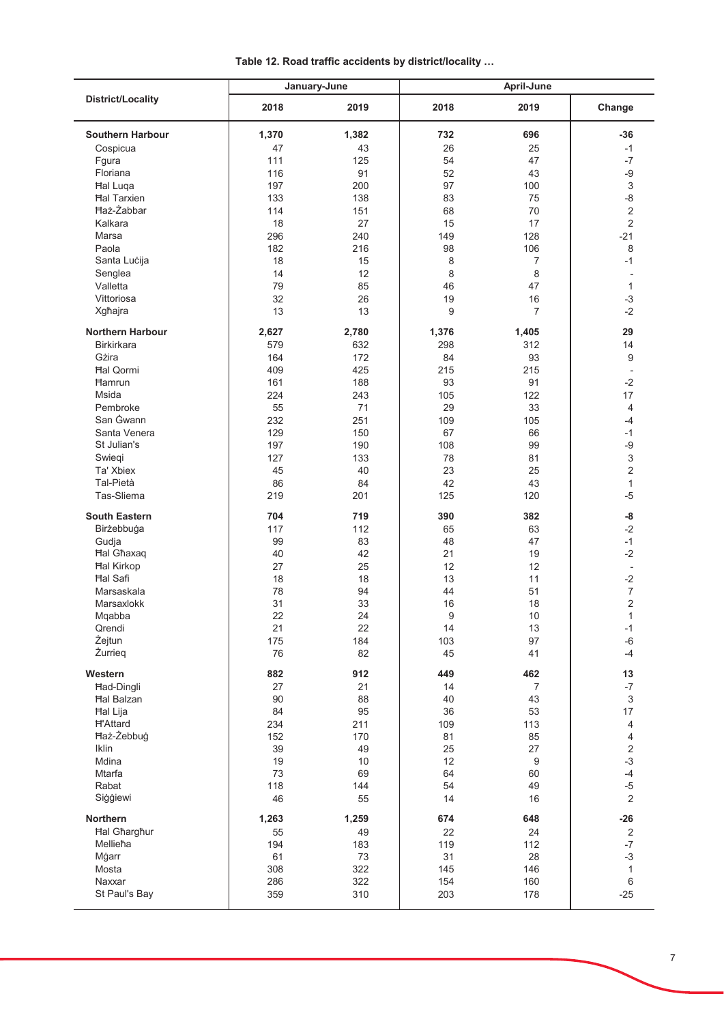|  | Table 12. Road traffic accidents by district/locality |  |  |  |
|--|-------------------------------------------------------|--|--|--|
|--|-------------------------------------------------------|--|--|--|

|                          | January-June |       |       | April-June     |                           |
|--------------------------|--------------|-------|-------|----------------|---------------------------|
| <b>District/Locality</b> | 2018         | 2019  | 2018  | 2019           | Change                    |
| <b>Southern Harbour</b>  | 1,370        | 1,382 | 732   | 696            | -36                       |
| Cospicua                 | 47           | 43    | 26    | 25             | $-1$                      |
| Fgura                    | 111          | 125   | 54    | 47             | $-7$                      |
| Floriana                 | 116          | 91    | 52    | 43             | -9                        |
|                          |              |       |       |                |                           |
| Hal Luqa                 | 197          | 200   | 97    | 100            | $\sqrt{3}$                |
| <b>Hal Tarxien</b>       | 133          | 138   | 83    | 75             | $-8$                      |
| <b>Haż-Żabbar</b>        | 114          | 151   | 68    | 70             | $\overline{2}$            |
| Kalkara                  | 18           | 27    | 15    | 17             | 2                         |
| Marsa                    | 296          | 240   | 149   | 128            | $-21$                     |
| Paola                    | 182          | 216   | 98    | 106            | 8                         |
| Santa Lucija             | 18           | 15    | 8     | 7              | $-1$                      |
| Senglea                  | 14           | 12    | 8     | 8              | $\overline{a}$            |
| Valletta                 | 79           | 85    | 46    | 47             | 1                         |
| Vittoriosa               | 32           | 26    | 19    | 16             | $-3$                      |
|                          |              |       |       |                |                           |
| Xgħajra                  | 13           | 13    | 9     | $\overline{7}$ | $-2$                      |
| <b>Northern Harbour</b>  | 2,627        | 2,780 | 1,376 | 1,405          | 29                        |
| <b>Birkirkara</b>        |              |       |       |                | 14                        |
|                          | 579          | 632   | 298   | 312            |                           |
| Gżira                    | 164          | 172   | 84    | 93             | 9                         |
| <b>Hal Qormi</b>         | 409          | 425   | 215   | 215            | $\overline{\phantom{a}}$  |
| Hamrun                   | 161          | 188   | 93    | 91             | $-2$                      |
| Msida                    | 224          | 243   | 105   | 122            | 17                        |
| Pembroke                 | 55           | 71    | 29    | 33             | $\overline{4}$            |
| San Gwann                | 232          | 251   | 109   | 105            | $-4$                      |
| Santa Venera             | 129          | 150   | 67    | 66             | $-1$                      |
| St Julian's              | 197          | 190   | 108   | 99             | -9                        |
|                          |              |       |       |                |                           |
| Swiegi                   | 127          | 133   | 78    | 81             | $\ensuremath{\mathsf{3}}$ |
| Ta' Xbiex                | 45           | 40    | 23    | 25             | $\overline{2}$            |
| Tal-Pietà                | 86           | 84    | 42    | 43             | $\mathbf{1}$              |
| Tas-Sliema               | 219          | 201   | 125   | 120            | $-5$                      |
| <b>South Eastern</b>     | 704          | 719   | 390   | 382            | -8                        |
| Birżebbuġa               | 117          | 112   | 65    | 63             | $-2$                      |
| Gudja                    | 99           | 83    | 48    | 47             | $-1$                      |
| <b>Hal Ghaxaq</b>        | 40           | 42    | 21    | 19             | $-2$                      |
| <b>Hal Kirkop</b>        | 27           | 25    | 12    | 12             | $\overline{\phantom{a}}$  |
| <b>Hal Safi</b>          | 18           | 18    | 13    | 11             | $-2$                      |
| Marsaskala               |              |       |       |                | $\boldsymbol{7}$          |
|                          | 78           | 94    | 44    | 51             |                           |
| Marsaxlokk               | 31           | 33    | 16    | 18             | $\overline{2}$            |
| Mqabba                   | 22           | 24    | 9     | $10$           | $\mathbf{1}$              |
| Qrendi                   | 21           | 22    | 14    | 13             | -1                        |
| Żejtun                   | 175          | 184   | 103   | 97             | $-6$                      |
| Żurrieg                  | 76           | 82    | 45    | 41             | $-4$                      |
| Western                  | 882          | 912   | 449   | 462            | 13                        |
| Had-Dingli               | 27           | 21    | 14    | $\overline{7}$ | $-7$                      |
| <b>Hal Balzan</b>        | 90           | 88    | 40    | 43             | 3                         |
| Hal Lija                 | 84           | 95    | 36    | 53             | 17                        |
| <b>H'Attard</b>          | 234          | 211   | 109   | 113            | $\overline{4}$            |
| Haż-Żebbuġ               | 152          | 170   | 81    | 85             | 4                         |
| Iklin                    |              |       |       |                |                           |
|                          | 39           | 49    | 25    | 27             | $\overline{2}$            |
| Mdina                    | 19           | 10    | 12    | 9              | $-3$                      |
| Mtarfa                   | 73           | 69    | 64    | 60             | $-4$                      |
| Rabat                    | 118          | 144   | 54    | 49             | $-5$                      |
| Siģģiewi                 | 46           | 55    | 14    | 16             | $\overline{2}$            |
| Northern                 | 1,263        | 1,259 | 674   | 648            | $-26$                     |
| <b>Hal Gharghur</b>      | 55           | 49    | 22    | 24             | 2                         |
| Mellieħa                 | 194          | 183   | 119   | 112            | $-7$                      |
| Mġarr                    | 61           | 73    | 31    | 28             | $-3$                      |
| Mosta                    | 308          | 322   | 145   | 146            | $\mathbf{1}$              |
| Naxxar                   | 286          | 322   | 154   | 160            | 6                         |
|                          |              |       |       |                |                           |
| St Paul's Bay            | 359          | 310   | 203   | 178            | $-25$                     |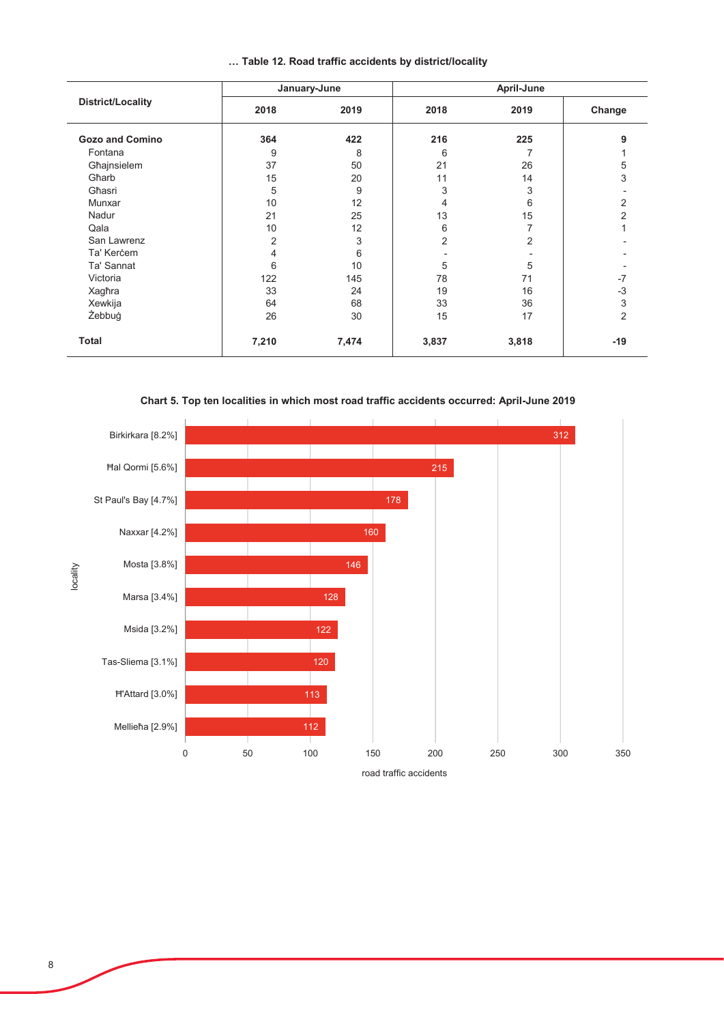|                          | January-June   |       | April-June |                |                |  |
|--------------------------|----------------|-------|------------|----------------|----------------|--|
| <b>District/Locality</b> | 2018           | 2019  | 2018       | 2019           | Change         |  |
| <b>Gozo and Comino</b>   | 364            | 422   | 216        | 225            | 9              |  |
| Fontana                  | 9              | 8     | 6          |                |                |  |
| Għajnsielem              | 37             | 50    | 21         | 26             | 5              |  |
| Gharb                    | 15             | 20    | 11         | 14             | 3              |  |
| Għasri                   | 5              | 9     | 3          | 3              |                |  |
| Munxar                   | 10             | 12    | 4          | 6              | 2              |  |
| Nadur                    | 21             | 25    | 13         | 15             | $\overline{2}$ |  |
| Qala                     | 10             | 12    | 6          | 7              |                |  |
| San Lawrenz              | $\overline{2}$ | 3     | 2          | $\overline{2}$ |                |  |
| Ta' Kercem               | 4              | 6     |            |                |                |  |
| Ta' Sannat               | 6              | 10    | 5          | 5              |                |  |
| Victoria                 | 122            | 145   | 78         | 71             | $-7$           |  |
| Xagħra                   | 33             | 24    | 19         | 16             | $-3$           |  |
| Xewkija                  | 64             | 68    | 33         | 36             | 3              |  |
| Żebbuġ                   | 26             | 30    | 15         | 17             | 2              |  |
| Total                    | 7,210          | 7,474 | 3,837      | 3,818          | -19            |  |

### ... Table 12. Road traffic accidents by district/locality

Chart 5. Top ten localities in which most road traffic accidents occurred: April-June 2019



road traffic accidents

8